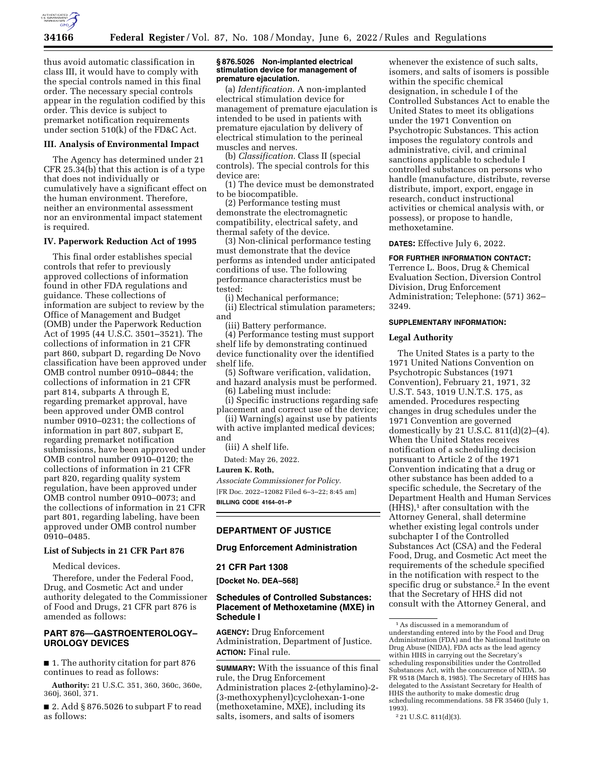

thus avoid automatic classification in class III, it would have to comply with the special controls named in this final order. The necessary special controls appear in the regulation codified by this order. This device is subject to premarket notification requirements under section 510(k) of the FD&C Act.

#### **III. Analysis of Environmental Impact**

The Agency has determined under 21 CFR 25.34(b) that this action is of a type that does not individually or cumulatively have a significant effect on the human environment. Therefore, neither an environmental assessment nor an environmental impact statement is required.

### **IV. Paperwork Reduction Act of 1995**

This final order establishes special controls that refer to previously approved collections of information found in other FDA regulations and guidance. These collections of information are subject to review by the Office of Management and Budget (OMB) under the Paperwork Reduction Act of 1995 (44 U.S.C. 3501–3521). The collections of information in 21 CFR part 860, subpart D, regarding De Novo classification have been approved under OMB control number 0910–0844; the collections of information in 21 CFR part 814, subparts A through E, regarding premarket approval, have been approved under OMB control number 0910–0231; the collections of information in part 807, subpart E, regarding premarket notification submissions, have been approved under OMB control number 0910–0120; the collections of information in 21 CFR part 820, regarding quality system regulation, have been approved under OMB control number 0910–0073; and the collections of information in 21 CFR part 801, regarding labeling, have been approved under OMB control number 0910–0485.

#### **List of Subjects in 21 CFR Part 876**

Medical devices.

Therefore, under the Federal Food, Drug, and Cosmetic Act and under authority delegated to the Commissioner of Food and Drugs, 21 CFR part 876 is amended as follows:

# **PART 876—GASTROENTEROLOGY– UROLOGY DEVICES**

■ 1. The authority citation for part 876 continues to read as follows:

**Authority:** 21 U.S.C. 351, 360, 360c, 360e, 360j, 360l, 371.

■ 2. Add § 876.5026 to subpart F to read as follows:

#### **§ 876.5026 Non-implanted electrical stimulation device for management of premature ejaculation.**

(a) *Identification.* A non-implanted electrical stimulation device for management of premature ejaculation is intended to be used in patients with premature ejaculation by delivery of electrical stimulation to the perineal muscles and nerves.

(b) *Classification.* Class II (special controls). The special controls for this device are:

(1) The device must be demonstrated to be biocompatible.

(2) Performance testing must demonstrate the electromagnetic compatibility, electrical safety, and thermal safety of the device.

(3) Non-clinical performance testing must demonstrate that the device performs as intended under anticipated conditions of use. The following performance characteristics must be tested:

(i) Mechanical performance;

(ii) Electrical stimulation parameters; and

(iii) Battery performance.

(4) Performance testing must support shelf life by demonstrating continued device functionality over the identified shelf life.

(5) Software verification, validation, and hazard analysis must be performed.

(6) Labeling must include: (i) Specific instructions regarding safe

placement and correct use of the device; (ii) Warning(s) against use by patients

with active implanted medical devices; and

(iii) A shelf life.

Dated: May 26, 2022.

#### **Lauren K. Roth,**

*Associate Commissioner for Policy.*  [FR Doc. 2022–12082 Filed 6–3–22; 8:45 am] **BILLING CODE 4164–01–P** 

# **DEPARTMENT OF JUSTICE**

#### **Drug Enforcement Administration**

#### **21 CFR Part 1308**

**[Docket No. DEA–568]** 

## **Schedules of Controlled Substances: Placement of Methoxetamine (MXE) in Schedule I**

**AGENCY:** Drug Enforcement Administration, Department of Justice. **ACTION:** Final rule.

**SUMMARY:** With the issuance of this final rule, the Drug Enforcement Administration places 2-(ethylamino)-2- (3-methoxyphenyl)cyclohexan-1-one (methoxetamine, MXE), including its salts, isomers, and salts of isomers

whenever the existence of such salts, isomers, and salts of isomers is possible within the specific chemical designation, in schedule I of the Controlled Substances Act to enable the United States to meet its obligations under the 1971 Convention on Psychotropic Substances. This action imposes the regulatory controls and administrative, civil, and criminal sanctions applicable to schedule I controlled substances on persons who handle (manufacture, distribute, reverse distribute, import, export, engage in research, conduct instructional activities or chemical analysis with, or possess), or propose to handle, methoxetamine.

**DATES:** Effective July 6, 2022.

## **FOR FURTHER INFORMATION CONTACT:**

Terrence L. Boos, Drug & Chemical Evaluation Section, Diversion Control Division, Drug Enforcement Administration; Telephone: (571) 362– 3249.

# **SUPPLEMENTARY INFORMATION:**

#### **Legal Authority**

The United States is a party to the 1971 United Nations Convention on Psychotropic Substances (1971 Convention), February 21, 1971, 32 U.S.T. 543, 1019 U.N.T.S. 175, as amended. Procedures respecting changes in drug schedules under the 1971 Convention are governed domestically by 21 U.S.C.  $811(d)(2)–(4)$ . When the United States receives notification of a scheduling decision pursuant to Article 2 of the 1971 Convention indicating that a drug or other substance has been added to a specific schedule, the Secretary of the Department Health and Human Services  $(HHS),<sup>1</sup>$  after consultation with the Attorney General, shall determine whether existing legal controls under subchapter I of the Controlled Substances Act (CSA) and the Federal Food, Drug, and Cosmetic Act meet the requirements of the schedule specified in the notification with respect to the specific drug or substance.<sup>2</sup> In the event that the Secretary of HHS did not consult with the Attorney General, and

<sup>1</sup>As discussed in a memorandum of understanding entered into by the Food and Drug Administration (FDA) and the National Institute on Drug Abuse (NIDA), FDA acts as the lead agency within HHS in carrying out the Secretary's scheduling responsibilities under the Controlled Substances Act, with the concurrence of NIDA. 50 FR 9518 (March 8, 1985). The Secretary of HHS has delegated to the Assistant Secretary for Health of HHS the authority to make domestic drug scheduling recommendations. 58 FR 35460 (July 1, 1993).

<sup>2</sup> 21 U.S.C. 811(d)(3).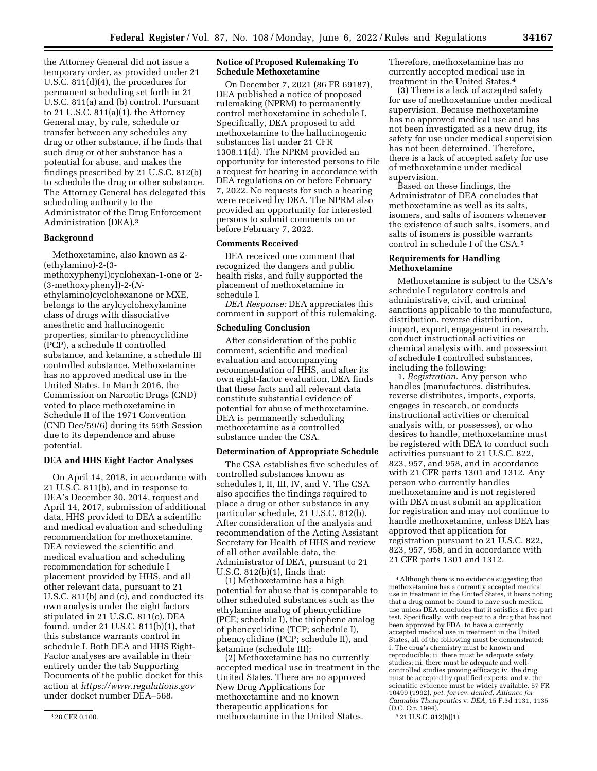the Attorney General did not issue a temporary order, as provided under 21 U.S.C. 811(d)(4), the procedures for permanent scheduling set forth in 21 U.S.C. 811(a) and (b) control. Pursuant to 21 U.S.C. 811(a)(1), the Attorney General may, by rule, schedule or transfer between any schedules any drug or other substance, if he finds that such drug or other substance has a potential for abuse, and makes the findings prescribed by 21 U.S.C. 812(b) to schedule the drug or other substance. The Attorney General has delegated this scheduling authority to the Administrator of the Drug Enforcement Administration (DEA).3

## **Background**

Methoxetamine, also known as 2- (ethylamino)-2-(3 methoxyphenyl)cyclohexan-1-one or 2- (3-methoxyphenyl)-2-(*N*ethylamino)cyclohexanone or MXE, belongs to the arylcyclohexylamine class of drugs with dissociative anesthetic and hallucinogenic properties, similar to phencyclidine (PCP), a schedule II controlled substance, and ketamine, a schedule III controlled substance. Methoxetamine has no approved medical use in the United States. In March 2016, the Commission on Narcotic Drugs (CND) voted to place methoxetamine in Schedule II of the 1971 Convention (CND Dec/59/6) during its 59th Session due to its dependence and abuse potential.

# **DEA and HHS Eight Factor Analyses**

On April 14, 2018, in accordance with 21 U.S.C. 811(b), and in response to DEA's December 30, 2014, request and April 14, 2017, submission of additional data, HHS provided to DEA a scientific and medical evaluation and scheduling recommendation for methoxetamine. DEA reviewed the scientific and medical evaluation and scheduling recommendation for schedule I placement provided by HHS, and all other relevant data, pursuant to 21 U.S.C. 811(b) and (c), and conducted its own analysis under the eight factors stipulated in 21 U.S.C. 811(c). DEA found, under 21 U.S.C. 811(b)(1), that this substance warrants control in schedule I. Both DEA and HHS Eight-Factor analyses are available in their entirety under the tab Supporting Documents of the public docket for this action at *<https://www.regulations.gov>*  under docket number DEA–568.

#### **Notice of Proposed Rulemaking To Schedule Methoxetamine**

On December 7, 2021 (86 FR 69187), DEA published a notice of proposed rulemaking (NPRM) to permanently control methoxetamine in schedule I. Specifically, DEA proposed to add methoxetamine to the hallucinogenic substances list under 21 CFR 1308.11(d). The NPRM provided an opportunity for interested persons to file a request for hearing in accordance with DEA regulations on or before February 7, 2022. No requests for such a hearing were received by DEA. The NPRM also provided an opportunity for interested persons to submit comments on or before February 7, 2022.

#### **Comments Received**

DEA received one comment that recognized the dangers and public health risks, and fully supported the placement of methoxetamine in schedule I.

*DEA Response:* DEA appreciates this comment in support of this rulemaking.

# **Scheduling Conclusion**

After consideration of the public comment, scientific and medical evaluation and accompanying recommendation of HHS, and after its own eight-factor evaluation, DEA finds that these facts and all relevant data constitute substantial evidence of potential for abuse of methoxetamine. DEA is permanently scheduling methoxetamine as a controlled substance under the CSA.

## **Determination of Appropriate Schedule**

The CSA establishes five schedules of controlled substances known as schedules I, II, III, IV, and V. The CSA also specifies the findings required to place a drug or other substance in any particular schedule, 21 U.S.C. 812(b). After consideration of the analysis and recommendation of the Acting Assistant Secretary for Health of HHS and review of all other available data, the Administrator of DEA, pursuant to 21 U.S.C. 812(b)(1), finds that:

(1) Methoxetamine has a high potential for abuse that is comparable to other scheduled substances such as the ethylamine analog of phencyclidine (PCE; schedule I), the thiophene analog of phencyclidine (TCP; schedule I), phencyclidine (PCP; schedule II), and ketamine (schedule III);

(2) Methoxetamine has no currently accepted medical use in treatment in the United States. There are no approved New Drug Applications for methoxetamine and no known therapeutic applications for methoxetamine in the United States.

Therefore, methoxetamine has no currently accepted medical use in treatment in the United States.4

(3) There is a lack of accepted safety for use of methoxetamine under medical supervision. Because methoxetamine has no approved medical use and has not been investigated as a new drug, its safety for use under medical supervision has not been determined. Therefore, there is a lack of accepted safety for use of methoxetamine under medical supervision.

Based on these findings, the Administrator of DEA concludes that methoxetamine as well as its salts, isomers, and salts of isomers whenever the existence of such salts, isomers, and salts of isomers is possible warrants control in schedule I of the CSA.5

## **Requirements for Handling Methoxetamine**

Methoxetamine is subject to the CSA's schedule I regulatory controls and administrative, civil, and criminal sanctions applicable to the manufacture, distribution, reverse distribution, import, export, engagement in research, conduct instructional activities or chemical analysis with, and possession of schedule I controlled substances, including the following:

1. *Registration.* Any person who handles (manufactures, distributes, reverse distributes, imports, exports, engages in research, or conducts instructional activities or chemical analysis with, or possesses), or who desires to handle, methoxetamine must be registered with DEA to conduct such activities pursuant to 21 U.S.C. 822, 823, 957, and 958, and in accordance with 21 CFR parts 1301 and 1312. Any person who currently handles methoxetamine and is not registered with DEA must submit an application for registration and may not continue to handle methoxetamine, unless DEA has approved that application for registration pursuant to 21 U.S.C. 822, 823, 957, 958, and in accordance with 21 CFR parts 1301 and 1312.

5 21 U.S.C. 812(b)(1).

<sup>3</sup> 28 CFR 0.100.

<sup>4</sup>Although there is no evidence suggesting that methoxetamine has a currently accepted medical use in treatment in the United States, it bears noting that a drug cannot be found to have such medical use unless DEA concludes that it satisfies a five-part test. Specifically, with respect to a drug that has not been approved by FDA, to have a currently accepted medical use in treatment in the United States, all of the following must be demonstrated: i. The drug's chemistry must be known and reproducible; ii. there must be adequate safety studies; iii. there must be adequate and wellcontrolled studies proving efficacy; iv. the drug must be accepted by qualified experts; and v. the scientific evidence must be widely available. 57 FR 10499 (1992), *pet. for rev. denied, Alliance for Cannabis Therapeutics* v. *DEA,* 15 F.3d 1131, 1135 (D.C. Cir. 1994).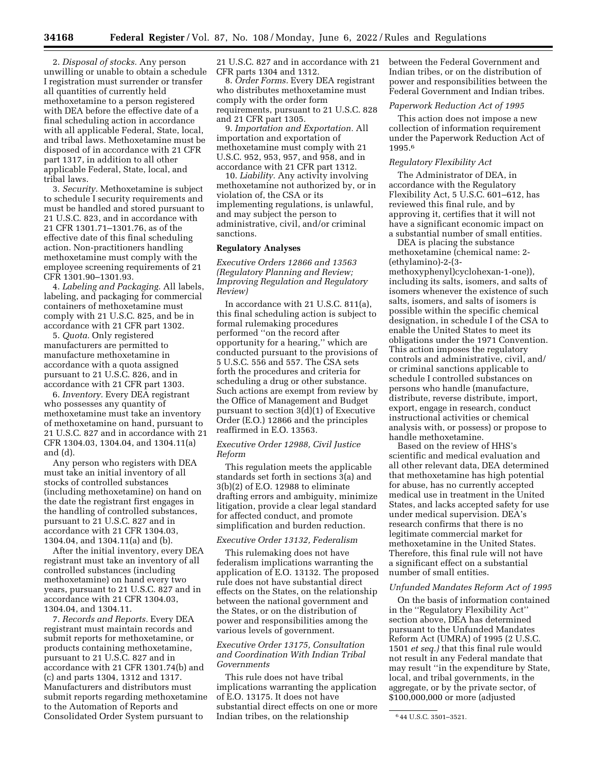2. *Disposal of stocks.* Any person unwilling or unable to obtain a schedule I registration must surrender or transfer all quantities of currently held methoxetamine to a person registered with DEA before the effective date of a final scheduling action in accordance with all applicable Federal, State, local, and tribal laws. Methoxetamine must be disposed of in accordance with 21 CFR part 1317, in addition to all other applicable Federal, State, local, and tribal laws.

3. *Security.* Methoxetamine is subject to schedule I security requirements and must be handled and stored pursuant to 21 U.S.C. 823, and in accordance with 21 CFR 1301.71–1301.76, as of the effective date of this final scheduling action. Non-practitioners handling methoxetamine must comply with the employee screening requirements of 21 CFR 1301.90–1301.93.

4. *Labeling and Packaging.* All labels, labeling, and packaging for commercial containers of methoxetamine must comply with 21 U.S.C. 825, and be in accordance with 21 CFR part 1302.

5. *Quota.* Only registered manufacturers are permitted to manufacture methoxetamine in accordance with a quota assigned pursuant to 21 U.S.C. 826, and in accordance with 21 CFR part 1303.

6. *Inventory.* Every DEA registrant who possesses any quantity of methoxetamine must take an inventory of methoxetamine on hand, pursuant to 21 U.S.C. 827 and in accordance with 21 CFR 1304.03, 1304.04, and 1304.11(a) and (d).

Any person who registers with DEA must take an initial inventory of all stocks of controlled substances (including methoxetamine) on hand on the date the registrant first engages in the handling of controlled substances, pursuant to 21 U.S.C. 827 and in accordance with 21 CFR 1304.03, 1304.04, and 1304.11(a) and (b).

After the initial inventory, every DEA registrant must take an inventory of all controlled substances (including methoxetamine) on hand every two years, pursuant to 21 U.S.C. 827 and in accordance with 21 CFR 1304.03, 1304.04, and 1304.11.

7. *Records and Reports.* Every DEA registrant must maintain records and submit reports for methoxetamine, or products containing methoxetamine, pursuant to 21 U.S.C. 827 and in accordance with 21 CFR 1301.74(b) and (c) and parts 1304, 1312 and 1317. Manufacturers and distributors must submit reports regarding methoxetamine to the Automation of Reports and Consolidated Order System pursuant to

21 U.S.C. 827 and in accordance with 21 CFR parts 1304 and 1312.

8. *Order Forms.* Every DEA registrant who distributes methoxetamine must comply with the order form requirements, pursuant to 21 U.S.C. 828 and 21 CFR part 1305.

9. *Importation and Exportation.* All importation and exportation of methoxetamine must comply with 21 U.S.C. 952, 953, 957, and 958, and in accordance with 21 CFR part 1312.

10. *Liability.* Any activity involving methoxetamine not authorized by, or in violation of, the CSA or its implementing regulations, is unlawful, and may subject the person to administrative, civil, and/or criminal sanctions.

#### **Regulatory Analyses**

*Executive Orders 12866 and 13563 (Regulatory Planning and Review; Improving Regulation and Regulatory Review)* 

In accordance with 21 U.S.C. 811(a), this final scheduling action is subject to formal rulemaking procedures performed ''on the record after opportunity for a hearing,'' which are conducted pursuant to the provisions of 5 U.S.C. 556 and 557. The CSA sets forth the procedures and criteria for scheduling a drug or other substance. Such actions are exempt from review by the Office of Management and Budget pursuant to section 3(d)(1) of Executive Order (E.O.) 12866 and the principles reaffirmed in E.O. 13563.

## *Executive Order 12988, Civil Justice Reform*

This regulation meets the applicable standards set forth in sections 3(a) and 3(b)(2) of E.O. 12988 to eliminate drafting errors and ambiguity, minimize litigation, provide a clear legal standard for affected conduct, and promote simplification and burden reduction.

## *Executive Order 13132, Federalism*

This rulemaking does not have federalism implications warranting the application of E.O. 13132. The proposed rule does not have substantial direct effects on the States, on the relationship between the national government and the States, or on the distribution of power and responsibilities among the various levels of government.

## *Executive Order 13175, Consultation and Coordination With Indian Tribal Governments*

This rule does not have tribal implications warranting the application of E.O. 13175. It does not have substantial direct effects on one or more Indian tribes, on the relationship

between the Federal Government and Indian tribes, or on the distribution of power and responsibilities between the Federal Government and Indian tribes.

## *Paperwork Reduction Act of 1995*

This action does not impose a new collection of information requirement under the Paperwork Reduction Act of 1995.6

#### *Regulatory Flexibility Act*

The Administrator of DEA, in accordance with the Regulatory Flexibility Act, 5 U.S.C. 601–612, has reviewed this final rule, and by approving it, certifies that it will not have a significant economic impact on a substantial number of small entities.

DEA is placing the substance methoxetamine (chemical name: 2- (ethylamino)-2-(3-

methoxyphenyl)cyclohexan-1-one)), including its salts, isomers, and salts of isomers whenever the existence of such salts, isomers, and salts of isomers is possible within the specific chemical designation, in schedule I of the CSA to enable the United States to meet its obligations under the 1971 Convention. This action imposes the regulatory controls and administrative, civil, and/ or criminal sanctions applicable to schedule I controlled substances on persons who handle (manufacture, distribute, reverse distribute, import, export, engage in research, conduct instructional activities or chemical analysis with, or possess) or propose to handle methoxetamine.

Based on the review of HHS's scientific and medical evaluation and all other relevant data, DEA determined that methoxetamine has high potential for abuse, has no currently accepted medical use in treatment in the United States, and lacks accepted safety for use under medical supervision. DEA's research confirms that there is no legitimate commercial market for methoxetamine in the United States. Therefore, this final rule will not have a significant effect on a substantial number of small entities.

#### *Unfunded Mandates Reform Act of 1995*

On the basis of information contained in the ''Regulatory Flexibility Act'' section above, DEA has determined pursuant to the Unfunded Mandates Reform Act (UMRA) of 1995 (2 U.S.C. 1501 *et seq.)* that this final rule would not result in any Federal mandate that may result ''in the expenditure by State, local, and tribal governments, in the aggregate, or by the private sector, of \$100,000,000 or more (adjusted

<sup>6</sup> 44 U.S.C. 3501–3521.